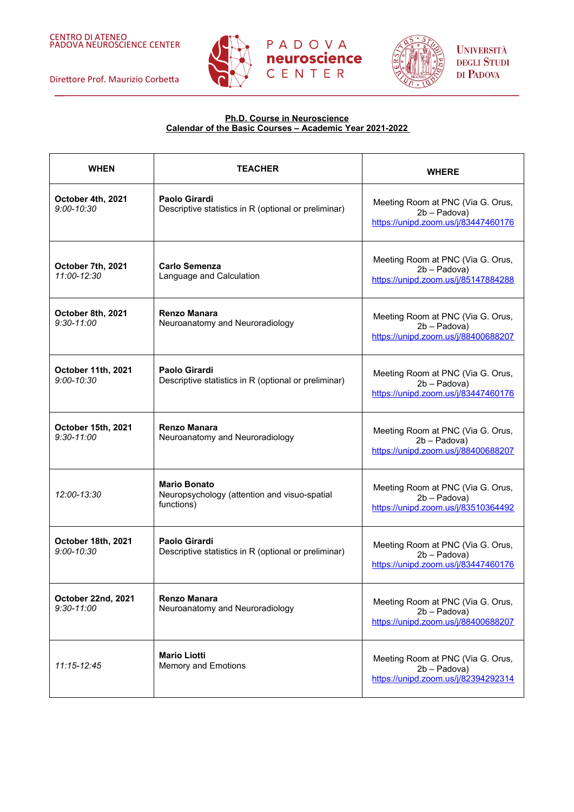



**UNIVERSITÀ DEGLI STUDI** DI PADOVA

# **Ph.D. Course in Neuroscience Calendar of the Basic Courses – Academic Year 2021-2022**

| <b>WHEN</b>                          | <b>TEACHER</b>                                                                    | <b>WHERE</b>                                                                             |
|--------------------------------------|-----------------------------------------------------------------------------------|------------------------------------------------------------------------------------------|
| October 4th, 2021<br>$9:00 - 10:30$  | <b>Paolo Girardi</b><br>Descriptive statistics in R (optional or preliminar)      | Meeting Room at PNC (Via G. Orus,<br>2b - Padova)<br>https://unipd.zoom.us/j/83447460176 |
| October 7th, 2021<br>11:00-12:30     | Carlo Semenza<br>Language and Calculation                                         | Meeting Room at PNC (Via G. Orus,<br>2b - Padova)<br>https://unipd.zoom.us/j/85147884288 |
| October 8th, 2021<br>$9:30 - 11:00$  | <b>Renzo Manara</b><br>Neuroanatomy and Neuroradiology                            | Meeting Room at PNC (Via G. Orus,<br>2b - Padova)<br>https://unipd.zoom.us/j/88400688207 |
| October 11th, 2021<br>$9:00 - 10:30$ | Paolo Girardi<br>Descriptive statistics in R (optional or preliminar)             | Meeting Room at PNC (Via G. Orus,<br>2b - Padova)<br>https://unipd.zoom.us/j/83447460176 |
| October 15th, 2021<br>$9:30 - 11:00$ | <b>Renzo Manara</b><br>Neuroanatomy and Neuroradiology                            | Meeting Room at PNC (Via G. Orus,<br>2b - Padova)<br>https://unipd.zoom.us/j/88400688207 |
| 12:00-13:30                          | <b>Mario Bonato</b><br>Neuropsychology (attention and visuo-spatial<br>functions) | Meeting Room at PNC (Via G. Orus,<br>2b - Padova)<br>https://unipd.zoom.us/j/83510364492 |
| October 18th, 2021<br>$9:00 - 10:30$ | <b>Paolo Girardi</b><br>Descriptive statistics in R (optional or preliminar)      | Meeting Room at PNC (Via G. Orus,<br>2b - Padova)<br>https://unipd.zoom.us/j/83447460176 |
| October 22nd, 2021<br>$9:30 - 11:00$ | <b>Renzo Manara</b><br>Neuroanatomy and Neuroradiology                            | Meeting Room at PNC (Via G. Orus,<br>2b - Padova)<br>https://unipd.zoom.us/j/88400688207 |
| 11:15-12:45                          | <b>Mario Liotti</b><br><b>Memory and Emotions</b>                                 | Meeting Room at PNC (Via G. Orus,<br>2b - Padova)<br>https://unipd.zoom.us/j/82394292314 |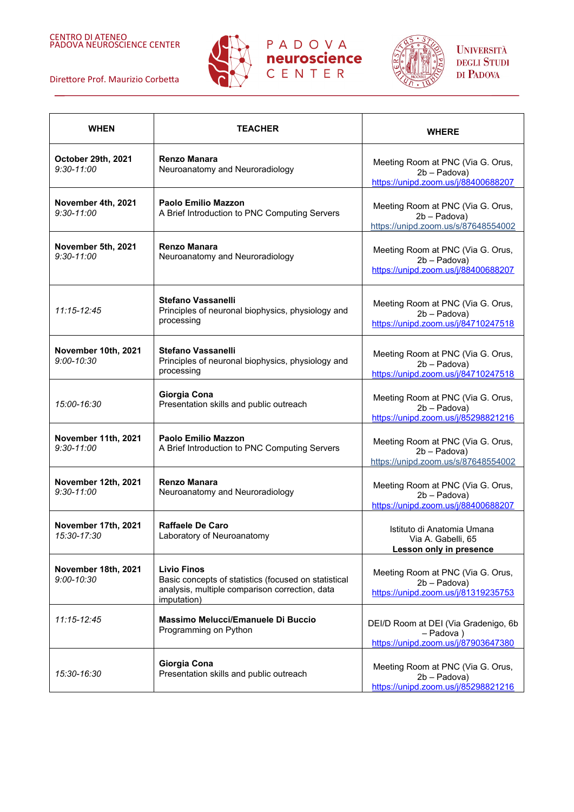





| <b>WHEN</b>                           | <b>TEACHER</b>                                                                                                                              | <b>WHERE</b>                                                                             |
|---------------------------------------|---------------------------------------------------------------------------------------------------------------------------------------------|------------------------------------------------------------------------------------------|
| October 29th, 2021<br>$9:30 - 11:00$  | <b>Renzo Manara</b><br>Neuroanatomy and Neuroradiology                                                                                      | Meeting Room at PNC (Via G. Orus,<br>2b - Padova)<br>https://unipd.zoom.us/j/88400688207 |
| November 4th, 2021<br>$9:30 - 11:00$  | <b>Paolo Emilio Mazzon</b><br>A Brief Introduction to PNC Computing Servers                                                                 | Meeting Room at PNC (Via G. Orus,<br>2b - Padova)<br>https://unipd.zoom.us/s/87648554002 |
| November 5th, 2021<br>$9:30 - 11:00$  | <b>Renzo Manara</b><br>Neuroanatomy and Neuroradiology                                                                                      | Meeting Room at PNC (Via G. Orus,<br>2b - Padova)<br>https://unipd.zoom.us/j/88400688207 |
| 11:15-12:45                           | <b>Stefano Vassanelli</b><br>Principles of neuronal biophysics, physiology and<br>processing                                                | Meeting Room at PNC (Via G. Orus,<br>2b - Padova)<br>https://unipd.zoom.us/j/84710247518 |
| November 10th, 2021<br>$9:00 - 10:30$ | Stefano Vassanelli<br>Principles of neuronal biophysics, physiology and<br>processing                                                       | Meeting Room at PNC (Via G. Orus,<br>2b - Padova)<br>https://unipd.zoom.us/j/84710247518 |
| 15:00-16:30                           | Giorgia Cona<br>Presentation skills and public outreach                                                                                     | Meeting Room at PNC (Via G. Orus,<br>2b - Padova)<br>https://unipd.zoom.us/j/85298821216 |
| November 11th, 2021<br>$9:30 - 11:00$ | <b>Paolo Emilio Mazzon</b><br>A Brief Introduction to PNC Computing Servers                                                                 | Meeting Room at PNC (Via G. Orus,<br>2b - Padova)<br>https://unipd.zoom.us/s/87648554002 |
| November 12th, 2021<br>$9:30 - 11:00$ | <b>Renzo Manara</b><br>Neuroanatomy and Neuroradiology                                                                                      | Meeting Room at PNC (Via G. Orus,<br>2b - Padova)<br>https://unipd.zoom.us/j/88400688207 |
| November 17th, 2021<br>15:30-17:30    | Raffaele De Caro<br>Laboratory of Neuroanatomy                                                                                              | Istituto di Anatomia Umana<br>Via A. Gabelli, 65<br>Lesson only in presence              |
| November 18th, 2021<br>$9:00 - 10:30$ | <b>Livio Finos</b><br>Basic concepts of statistics (focused on statistical<br>analysis, multiple comparison correction, data<br>imputation) | Meeting Room at PNC (Via G. Orus,<br>2b - Padova)<br>https://unipd.zoom.us/j/81319235753 |
| 11:15-12:45                           | Massimo Melucci/Emanuele Di Buccio<br>Programming on Python                                                                                 | DEI/D Room at DEI (Via Gradenigo, 6b<br>- Padova)<br>https://unipd.zoom.us/j/87903647380 |
| 15:30-16:30                           | Giorgia Cona<br>Presentation skills and public outreach                                                                                     | Meeting Room at PNC (Via G. Orus,<br>2b - Padova)<br>https://unipd.zoom.us/j/85298821216 |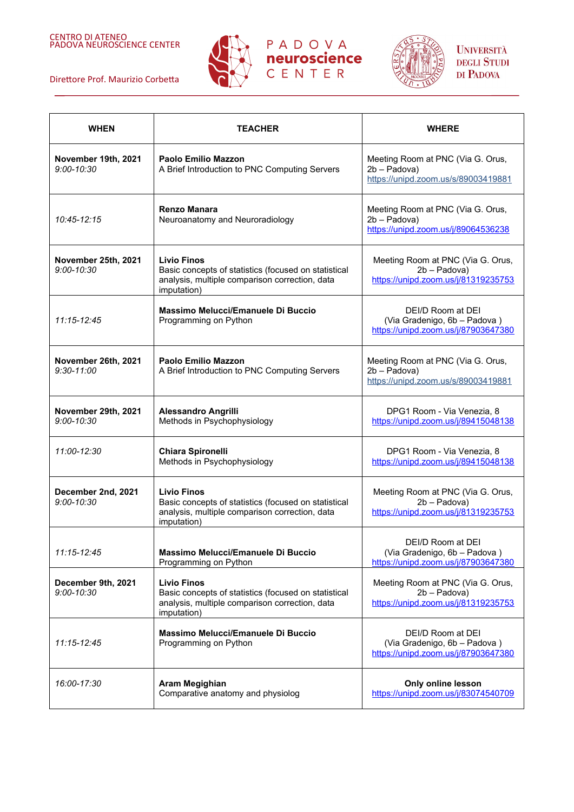





| <b>WHEN</b>                           | <b>TEACHER</b>                                                                                                                              | <b>WHERE</b>                                                                             |
|---------------------------------------|---------------------------------------------------------------------------------------------------------------------------------------------|------------------------------------------------------------------------------------------|
| November 19th, 2021<br>$9:00 - 10:30$ | Paolo Emilio Mazzon<br>A Brief Introduction to PNC Computing Servers                                                                        | Meeting Room at PNC (Via G. Orus,<br>2b - Padova)<br>https://unipd.zoom.us/s/89003419881 |
| 10:45-12:15                           | <b>Renzo Manara</b><br>Neuroanatomy and Neuroradiology                                                                                      | Meeting Room at PNC (Via G. Orus,<br>2b - Padova)<br>https://unipd.zoom.us/j/89064536238 |
| November 25th, 2021<br>$9:00 - 10:30$ | <b>Livio Finos</b><br>Basic concepts of statistics (focused on statistical<br>analysis, multiple comparison correction, data<br>imputation) | Meeting Room at PNC (Via G. Orus,<br>2b - Padova)<br>https://unipd.zoom.us/j/81319235753 |
| 11:15-12:45                           | Massimo Melucci/Emanuele Di Buccio<br>Programming on Python                                                                                 | DEI/D Room at DEI<br>(Via Gradenigo, 6b - Padova)<br>https://unipd.zoom.us/j/87903647380 |
| November 26th, 2021<br>$9:30 - 11:00$ | <b>Paolo Emilio Mazzon</b><br>A Brief Introduction to PNC Computing Servers                                                                 | Meeting Room at PNC (Via G. Orus,<br>2b - Padova)<br>https://unipd.zoom.us/s/89003419881 |
| November 29th, 2021<br>$9:00 - 10:30$ | <b>Alessandro Angrilli</b><br>Methods in Psychophysiology                                                                                   | DPG1 Room - Via Venezia, 8<br>https://unipd.zoom.us/j/89415048138                        |
| 11:00-12:30                           | <b>Chiara Spironelli</b><br>Methods in Psychophysiology                                                                                     | DPG1 Room - Via Venezia, 8<br>https://unipd.zoom.us/j/89415048138                        |
| December 2nd, 2021<br>$9:00 - 10:30$  | <b>Livio Finos</b><br>Basic concepts of statistics (focused on statistical<br>analysis, multiple comparison correction, data<br>imputation) | Meeting Room at PNC (Via G. Orus,<br>2b - Padova)<br>https://unipd.zoom.us/j/81319235753 |
| $11:15 - 12:45$                       | Massimo Melucci/Emanuele Di Buccio<br>Programming on Python                                                                                 | DEI/D Room at DEI<br>(Via Gradenigo, 6b - Padova)<br>https://unipd.zoom.us/j/87903647380 |
| December 9th, 2021<br>$9:00 - 10:30$  | <b>Livio Finos</b><br>Basic concepts of statistics (focused on statistical<br>analysis, multiple comparison correction, data<br>imputation) | Meeting Room at PNC (Via G. Orus,<br>2b - Padova)<br>https://unipd.zoom.us/j/81319235753 |
| 11:15-12:45                           | Massimo Melucci/Emanuele Di Buccio<br>Programming on Python                                                                                 | DEI/D Room at DEI<br>(Via Gradenigo, 6b - Padova)<br>https://unipd.zoom.us/j/87903647380 |
| 16:00-17:30                           | Aram Megighian<br>Comparative anatomy and physiolog                                                                                         | Only online lesson<br>https://unipd.zoom.us/j/83074540709                                |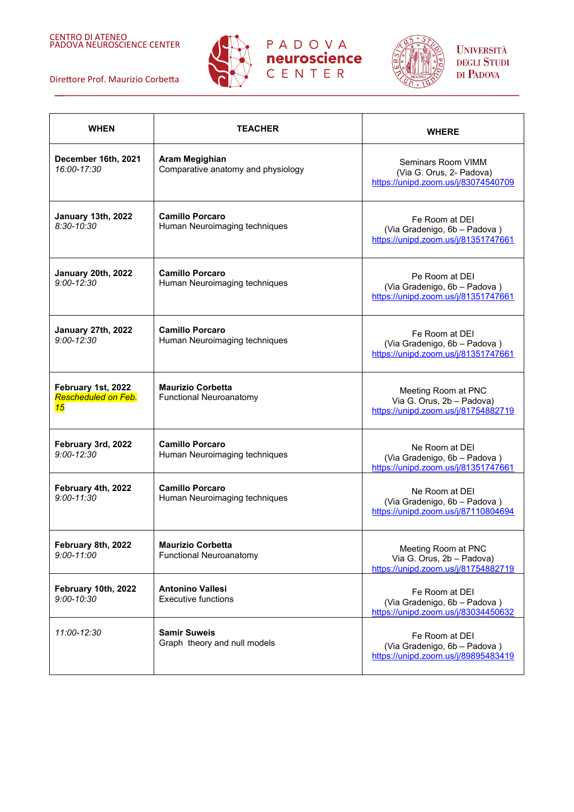







| <b>WHEN</b>                                     | <b>TEACHER</b>                                             | <b>WHERE</b>                                                                            |
|-------------------------------------------------|------------------------------------------------------------|-----------------------------------------------------------------------------------------|
| December 16th, 2021<br>16:00-17:30              | Aram Megighian<br>Comparative anatomy and physiology       | Seminars Room VIMM<br>(Via G. Orus, 2- Padova)<br>https://unipd.zoom.us/j/83074540709   |
| January 13th, 2022<br>$8:30 - 10:30$            | <b>Camillo Porcaro</b><br>Human Neuroimaging techniques    | Fe Room at DEI<br>(Via Gradenigo, 6b - Padova)<br>https://unipd.zoom.us/j/81351747661   |
| January 20th, 2022<br>$9:00 - 12:30$            | <b>Camillo Porcaro</b><br>Human Neuroimaging techniques    | Pe Room at DEI<br>(Via Gradenigo, 6b - Padova)<br>https://unipd.zoom.us/j/81351747661   |
| January 27th, 2022<br>$9:00 - 12:30$            | <b>Camillo Porcaro</b><br>Human Neuroimaging techniques    | Fe Room at DEI<br>(Via Gradenigo, 6b - Padova)<br>https://unipd.zoom.us/j/81351747661   |
| February 1st, 2022<br>Rescheduled on Feb.<br>15 | <b>Maurizio Corbetta</b><br><b>Functional Neuroanatomy</b> | Meeting Room at PNC<br>Via G. Orus, 2b - Padova)<br>https://unipd.zoom.us/j/81754882719 |
| February 3rd, 2022<br>$9:00 - 12:30$            | <b>Camillo Porcaro</b><br>Human Neuroimaging techniques    | Ne Room at DEI<br>(Via Gradenigo, 6b - Padova)<br>https://unipd.zoom.us/j/81351747661   |
| February 4th, 2022<br>$9:00 - 11:30$            | <b>Camillo Porcaro</b><br>Human Neuroimaging techniques    | Ne Room at DEI<br>(Via Gradenigo, 6b - Padova)<br>https://unipd.zoom.us/j/87110804694   |
| February 8th, 2022<br>$9:00 - 11:00$            | <b>Maurizio Corbetta</b><br><b>Functional Neuroanatomy</b> | Meeting Room at PNC<br>Via G. Orus, 2b - Padova)<br>https://unipd.zoom.us/j/81754882719 |
| February 10th, 2022<br>$9:00 - 10:30$           | <b>Antonino Vallesi</b><br><b>Executive functions</b>      | Fe Room at DEI<br>(Via Gradenigo, 6b - Padova)<br>https://unipd.zoom.us/j/83034450632   |
| 11:00-12:30                                     | <b>Samir Suweis</b><br>Graph theory and null models        | Fe Room at DEI<br>(Via Gradenigo, 6b - Padova)<br>https://unipd.zoom.us/j/89895483419   |